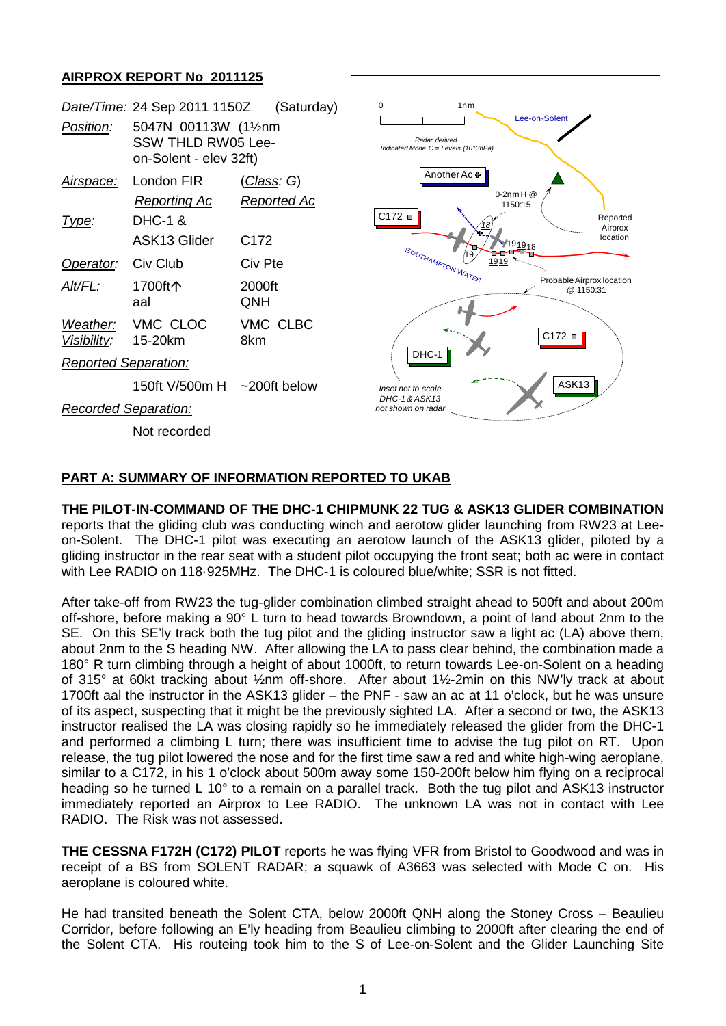# **AIRPROX REPORT No 2011125**



## **PART A: SUMMARY OF INFORMATION REPORTED TO UKAB**

#### **THE PILOT-IN-COMMAND OF THE DHC-1 CHIPMUNK 22 TUG & ASK13 GLIDER COMBINATION**  reports that the gliding club was conducting winch and aerotow glider launching from RW23 at Leeon-Solent. The DHC-1 pilot was executing an aerotow launch of the ASK13 glider, piloted by a gliding instructor in the rear seat with a student pilot occupying the front seat; both ac were in contact with Lee RADIO on 118·925MHz. The DHC-1 is coloured blue/white; SSR is not fitted.

After take-off from RW23 the tug-glider combination climbed straight ahead to 500ft and about 200m off-shore, before making a 90° L turn to head towards Browndown, a point of land about 2nm to the SE. On this SE'ly track both the tug pilot and the gliding instructor saw a light ac (LA) above them, about 2nm to the S heading NW. After allowing the LA to pass clear behind, the combination made a 180° R turn climbing through a height of about 1000ft, to return towards Lee-on-Solent on a heading of 315° at 60kt tracking about ½nm off-shore. After about 1½-2min on this NW'ly track at about 1700ft aal the instructor in the ASK13 glider – the PNF - saw an ac at 11 o'clock, but he was unsure of its aspect, suspecting that it might be the previously sighted LA. After a second or two, the ASK13 instructor realised the LA was closing rapidly so he immediately released the glider from the DHC-1 and performed a climbing L turn; there was insufficient time to advise the tug pilot on RT. Upon release, the tug pilot lowered the nose and for the first time saw a red and white high-wing aeroplane, similar to a C172, in his 1 o'clock about 500m away some 150-200ft below him flying on a reciprocal heading so he turned L 10° to a remain on a parallel track. Both the tug pilot and ASK13 instructor immediately reported an Airprox to Lee RADIO. The unknown LA was not in contact with Lee RADIO. The Risk was not assessed.

**THE CESSNA F172H (C172) PILOT** reports he was flying VFR from Bristol to Goodwood and was in receipt of a BS from SOLENT RADAR; a squawk of A3663 was selected with Mode C on. His aeroplane is coloured white.

He had transited beneath the Solent CTA, below 2000ft QNH along the Stoney Cross – Beaulieu Corridor, before following an E'ly heading from Beaulieu climbing to 2000ft after clearing the end of the Solent CTA. His routeing took him to the S of Lee-on-Solent and the Glider Launching Site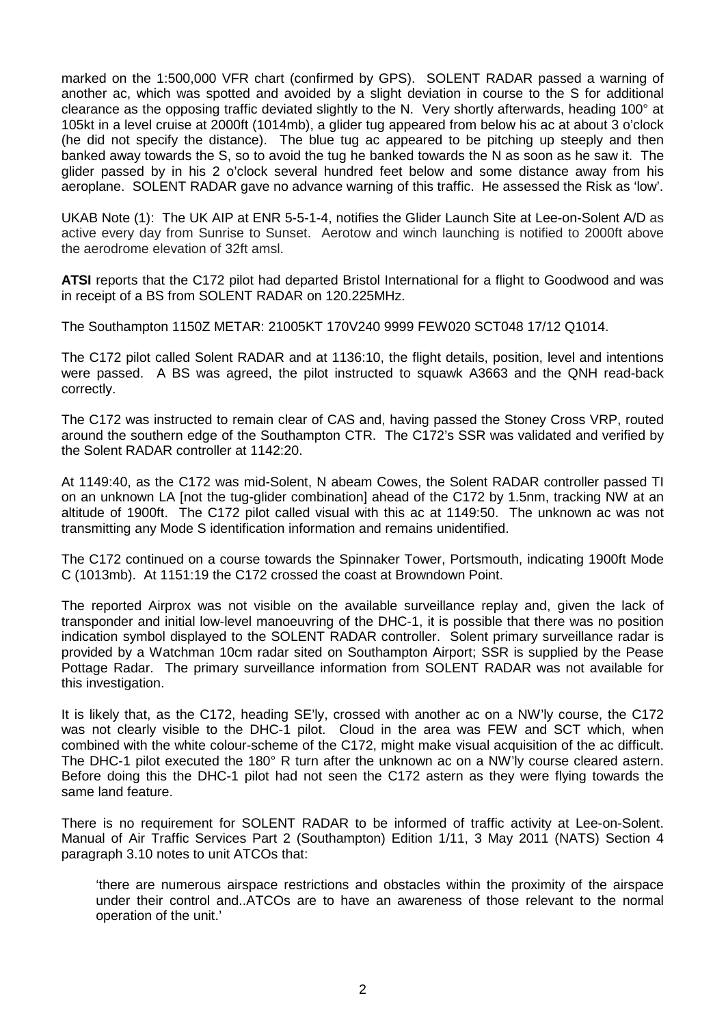marked on the 1:500,000 VFR chart (confirmed by GPS). SOLENT RADAR passed a warning of another ac, which was spotted and avoided by a slight deviation in course to the S for additional clearance as the opposing traffic deviated slightly to the N. Very shortly afterwards, heading 100° at 105kt in a level cruise at 2000ft (1014mb), a glider tug appeared from below his ac at about 3 o'clock (he did not specify the distance). The blue tug ac appeared to be pitching up steeply and then banked away towards the S, so to avoid the tug he banked towards the N as soon as he saw it. The glider passed by in his 2 o'clock several hundred feet below and some distance away from his aeroplane. SOLENT RADAR gave no advance warning of this traffic. He assessed the Risk as 'low'.

UKAB Note (1): The UK AIP at ENR 5-5-1-4, notifies the Glider Launch Site at Lee-on-Solent A/D as active every day from Sunrise to Sunset. Aerotow and winch launching is notified to 2000ft above the aerodrome elevation of 32ft amsl.

**ATSI** reports that the C172 pilot had departed Bristol International for a flight to Goodwood and was in receipt of a BS from SOLENT RADAR on 120.225MHz.

The Southampton 1150Z METAR: 21005KT 170V240 9999 FEW020 SCT048 17/12 Q1014.

The C172 pilot called Solent RADAR and at 1136:10, the flight details, position, level and intentions were passed. A BS was agreed, the pilot instructed to squawk A3663 and the QNH read-back correctly.

The C172 was instructed to remain clear of CAS and, having passed the Stoney Cross VRP, routed around the southern edge of the Southampton CTR. The C172's SSR was validated and verified by the Solent RADAR controller at 1142:20.

At 1149:40, as the C172 was mid-Solent, N abeam Cowes, the Solent RADAR controller passed TI on an unknown LA [not the tug-glider combination] ahead of the C172 by 1.5nm, tracking NW at an altitude of 1900ft. The C172 pilot called visual with this ac at 1149:50. The unknown ac was not transmitting any Mode S identification information and remains unidentified.

The C172 continued on a course towards the Spinnaker Tower, Portsmouth, indicating 1900ft Mode C (1013mb). At 1151:19 the C172 crossed the coast at Browndown Point.

The reported Airprox was not visible on the available surveillance replay and, given the lack of transponder and initial low-level manoeuvring of the DHC-1, it is possible that there was no position indication symbol displayed to the SOLENT RADAR controller. Solent primary surveillance radar is provided by a Watchman 10cm radar sited on Southampton Airport; SSR is supplied by the Pease Pottage Radar. The primary surveillance information from SOLENT RADAR was not available for this investigation.

It is likely that, as the C172, heading SE'ly, crossed with another ac on a NW'ly course, the C172 was not clearly visible to the DHC-1 pilot. Cloud in the area was FEW and SCT which, when combined with the white colour-scheme of the C172, might make visual acquisition of the ac difficult. The DHC-1 pilot executed the 180° R turn after the unknown ac on a NW'ly course cleared astern. Before doing this the DHC-1 pilot had not seen the C172 astern as they were flying towards the same land feature.

There is no requirement for SOLENT RADAR to be informed of traffic activity at Lee-on-Solent. Manual of Air Traffic Services Part 2 (Southampton) Edition 1/11, 3 May 2011 (NATS) Section 4 paragraph 3.10 notes to unit ATCOs that:

'there are numerous airspace restrictions and obstacles within the proximity of the airspace under their control and..ATCOs are to have an awareness of those relevant to the normal operation of the unit.'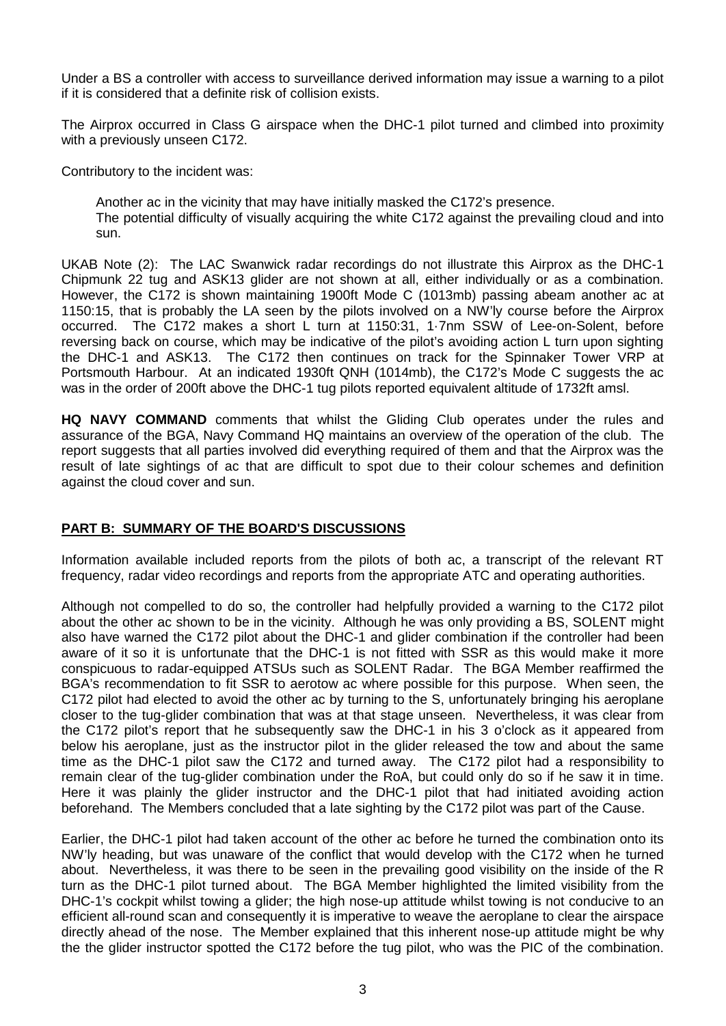Under a BS a controller with access to surveillance derived information may issue a warning to a pilot if it is considered that a definite risk of collision exists.

The Airprox occurred in Class G airspace when the DHC-1 pilot turned and climbed into proximity with a previously unseen C172.

Contributory to the incident was:

Another ac in the vicinity that may have initially masked the C172's presence.

The potential difficulty of visually acquiring the white C172 against the prevailing cloud and into sun.

UKAB Note (2): The LAC Swanwick radar recordings do not illustrate this Airprox as the DHC-1 Chipmunk 22 tug and ASK13 glider are not shown at all, either individually or as a combination. However, the C172 is shown maintaining 1900ft Mode C (1013mb) passing abeam another ac at 1150:15, that is probably the LA seen by the pilots involved on a NW'ly course before the Airprox occurred. The C172 makes a short L turn at 1150:31, 1·7nm SSW of Lee-on-Solent, before reversing back on course, which may be indicative of the pilot's avoiding action L turn upon sighting the DHC-1 and ASK13. The C172 then continues on track for the Spinnaker Tower VRP at Portsmouth Harbour. At an indicated 1930ft QNH (1014mb), the C172's Mode C suggests the ac was in the order of 200ft above the DHC-1 tug pilots reported equivalent altitude of 1732ft amsl.

**HQ NAVY COMMAND** comments that whilst the Gliding Club operates under the rules and assurance of the BGA, Navy Command HQ maintains an overview of the operation of the club. The report suggests that all parties involved did everything required of them and that the Airprox was the result of late sightings of ac that are difficult to spot due to their colour schemes and definition against the cloud cover and sun.

## **PART B: SUMMARY OF THE BOARD'S DISCUSSIONS**

Information available included reports from the pilots of both ac, a transcript of the relevant RT frequency, radar video recordings and reports from the appropriate ATC and operating authorities.

Although not compelled to do so, the controller had helpfully provided a warning to the C172 pilot about the other ac shown to be in the vicinity. Although he was only providing a BS, SOLENT might also have warned the C172 pilot about the DHC-1 and glider combination if the controller had been aware of it so it is unfortunate that the DHC-1 is not fitted with SSR as this would make it more conspicuous to radar-equipped ATSUs such as SOLENT Radar. The BGA Member reaffirmed the BGA's recommendation to fit SSR to aerotow ac where possible for this purpose. When seen, the C172 pilot had elected to avoid the other ac by turning to the S, unfortunately bringing his aeroplane closer to the tug-glider combination that was at that stage unseen. Nevertheless, it was clear from the C172 pilot's report that he subsequently saw the DHC-1 in his 3 o'clock as it appeared from below his aeroplane, just as the instructor pilot in the glider released the tow and about the same time as the DHC-1 pilot saw the C172 and turned away. The C172 pilot had a responsibility to remain clear of the tug-glider combination under the RoA, but could only do so if he saw it in time. Here it was plainly the glider instructor and the DHC-1 pilot that had initiated avoiding action beforehand. The Members concluded that a late sighting by the C172 pilot was part of the Cause.

Earlier, the DHC-1 pilot had taken account of the other ac before he turned the combination onto its NW'ly heading, but was unaware of the conflict that would develop with the C172 when he turned about. Nevertheless, it was there to be seen in the prevailing good visibility on the inside of the R turn as the DHC-1 pilot turned about. The BGA Member highlighted the limited visibility from the DHC-1's cockpit whilst towing a glider; the high nose-up attitude whilst towing is not conducive to an efficient all-round scan and consequently it is imperative to weave the aeroplane to clear the airspace directly ahead of the nose. The Member explained that this inherent nose-up attitude might be why the the glider instructor spotted the C172 before the tug pilot, who was the PIC of the combination.